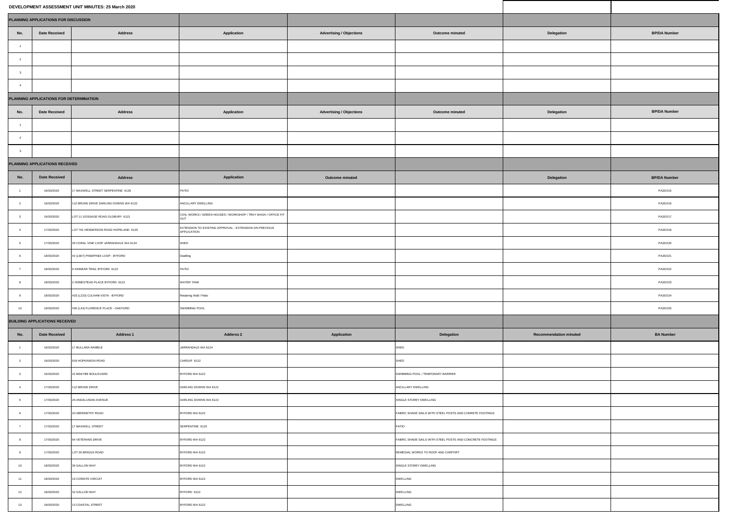|                                       |                                         | DEVELOPMENT ASSESSMENT UNIT MINUTES: 25 March 2020 |                                                                       |                                 |                                                           |                               |                     |
|---------------------------------------|-----------------------------------------|----------------------------------------------------|-----------------------------------------------------------------------|---------------------------------|-----------------------------------------------------------|-------------------------------|---------------------|
| PLANNING APPLICATIONS FOR DISCUSSION  |                                         |                                                    |                                                                       |                                 |                                                           |                               |                     |
| No.                                   | <b>Date Received</b>                    | <b>Address</b>                                     | Application                                                           | <b>Advertising / Objections</b> | Outcome minuted                                           | Delegation                    | <b>BP/DA Number</b> |
| $-1$                                  |                                         |                                                    |                                                                       |                                 |                                                           |                               |                     |
| $\overline{2}$                        |                                         |                                                    |                                                                       |                                 |                                                           |                               |                     |
| $\overline{\mathbf{3}}$               |                                         |                                                    |                                                                       |                                 |                                                           |                               |                     |
| $-4$                                  |                                         |                                                    |                                                                       |                                 |                                                           |                               |                     |
|                                       | PLANNING APPLICATIONS FOR DETERMINATION |                                                    |                                                                       |                                 |                                                           |                               |                     |
| No.                                   | <b>Date Received</b>                    | Address                                            | Application                                                           | <b>Advertising / Objections</b> | Outcome minuted                                           | Delegation                    | <b>BP/DA Number</b> |
| $-1$                                  |                                         |                                                    |                                                                       |                                 |                                                           |                               |                     |
| $\overline{2}$                        |                                         |                                                    |                                                                       |                                 |                                                           |                               |                     |
| $\overline{\mathbf{3}}$               |                                         |                                                    |                                                                       |                                 |                                                           |                               |                     |
|                                       | PLANNING APPLICATIONS RECEIVED          |                                                    |                                                                       |                                 |                                                           |                               |                     |
| No.                                   | <b>Date Received</b>                    | <b>Address</b>                                     | Application                                                           | Outcome minuted                 |                                                           | Delegation                    | <b>BP/DA Number</b> |
| $-1$                                  | 16/03/2020                              | 7 MAXWELL STREET SERPENTINE 6125                   | PATIO                                                                 |                                 |                                                           |                               | PA20/215            |
| $\overline{2}$                        | 16/03/2020                              | 12 BRUNS DRIVE DARLING DOWNS WA 6122               | <b>NOILLARY DWELLING</b>                                              |                                 |                                                           |                               | PA20/216            |
| $\overline{\mathbf{3}}$               | 16/03/2020                              | LOT 11 GOSSAGE ROAD OLDBURY 6121                   | CIVIL WORKS / GREEN HOUSES / WORKSHOP / TRAY WASH / OFFICE FIT OUT    |                                 |                                                           |                               | PA20/217            |
| $-4$                                  | 17/03/2020                              | LOT 701 HENDERSON ROAD HOPELAND 6125               | EXTENSION TO EXISTING APPROVAL - EXTENSION ON PREVIOUS<br>APPLICATION |                                 |                                                           |                               | PA20/218            |
| $5^{\circ}$                           | 17/03/2020                              | 39 CORAL VINE LOOP JARRAHDALE WA 6124              | SHED                                                                  |                                 |                                                           |                               | PA20/220            |
| 6                                     | 18/03/2020                              | #2 (L907) PINDIPINDI LOOP - BYFORD                 | <b>Owelling</b>                                                       |                                 |                                                           |                               | PA20/221            |
| $\boldsymbol{7}$                      | 18/03/2020                              | KINNEAR TRAIL BYFORD 6122                          | PATIO                                                                 |                                 |                                                           |                               | PA20/222            |
| 8                                     | 18/03/2020                              | HOMESTEAD PLACE BYFORD 6122                        | <b><i>NATER TANK</i></b>                                              |                                 |                                                           |                               | PA20/223            |
| 9                                     | 18/03/2020                              | #33 (L223) CULHAM VISTA - BYFORD                   | Retaining Wall / Patio                                                |                                 |                                                           |                               | PA20/224            |
| 10                                    | 19/03/2020                              | #30 (L43) FLORENCE PLACE - OAKFORD                 | <b>SWIMMING POOL</b>                                                  |                                 |                                                           |                               | PA20/225            |
| <b>BUILDING APPLICATIONS RECEIVED</b> |                                         |                                                    |                                                                       |                                 |                                                           |                               |                     |
| No.                                   | <b>Date Received</b>                    | <b>Address 1</b>                                   | Adderss 2                                                             | Application                     | Delegation                                                | <b>Recommendation minuted</b> | <b>BA Number</b>    |
| $-1$                                  | 16/03/2020                              | 7 BULLARA RAMBLE                                   | ARRAHDALE WA 6124                                                     |                                 | SHED                                                      |                               |                     |
| $\overline{2}$                        | 16/03/2020                              | 919 HOPKINSON ROAD                                 | CARDUP 6122                                                           |                                 | SHED                                                      |                               |                     |
| $\overline{\mathbf{3}}$               | 16/03/2020                              | 22 MAKYBE BOULEVARD                                | 3YFORD WA 6122                                                        |                                 | SWIMMING POOL / TEMPORARY BARRIER                         |                               |                     |
| $-4$                                  | 17/03/2020                              | 12 BRUNS DRIVE                                     | DARLING DOWNS WA 6122                                                 |                                 | ANCILLARY DWELLING                                        |                               |                     |
| $5\overline{5}$                       | 17/03/2020                              | 26 ANDALUSIAN AVENUE                               | DARLING DOWNS WA 6122                                                 |                                 | SINGLE STOREY DWELLING                                    |                               |                     |
| 6                                     | 17/03/2020                              | 20 ABERNETHY ROAD                                  | SYFORD WA 6122                                                        |                                 | FABRIC SHADE SAILS WITH STEEL POSTS AND CONRETE FOOTINGS  |                               |                     |
| $\boldsymbol{7}$                      | 17/03/2020                              | 7 MAXWELL STREET                                   | SERPENTINE 6125                                                       |                                 | PATIO                                                     |                               |                     |
| 8                                     | 17/03/2020                              | 64 VETERANS DRIVE                                  | SYFORD WA 6122                                                        |                                 | FABRIC SHADE SAILS WITH STEEL POSTS AND CONCRETE FOOTINGS |                               |                     |
| 9                                     | 17/03/2020                              | LOT 35 BRIGGS ROAD                                 | 3YFORD WA 6122                                                        |                                 | REMEDIAL WORKS TO ROOF AND CARPORT                        |                               |                     |
| 10                                    | 18/03/2020                              | 36 GALLON WAY                                      | SYFORD WA 6122                                                        |                                 | SINGLE STOREY DWELLING                                    |                               |                     |
| 11                                    | 18/03/2020                              | 19 CORDITE CIRCUIT                                 | 3YFORD WA 6122                                                        |                                 | DWELLING                                                  |                               |                     |
| 12                                    | 18/03/2020                              | 32 GALLON WAY                                      | SYFORD 6122                                                           |                                 | DWELLING                                                  |                               |                     |
| 13                                    | 18/03/2020                              | 3 COASTAL STREET                                   | YFORD WA 6122                                                         |                                 | DWELLING                                                  |                               |                     |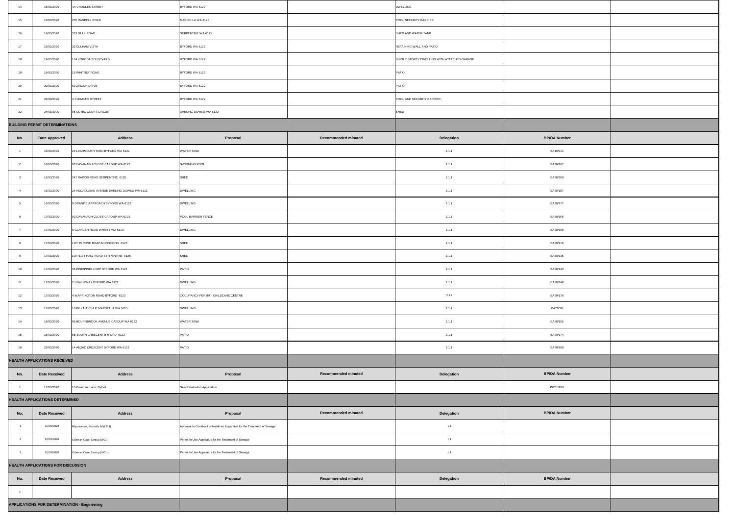| 14                                                  | 18/03/2020                            | 4A CHOULES STREET                          | BYFORD WA 6122                                                            |                     | DWELLING                                    |                     |  |
|-----------------------------------------------------|---------------------------------------|--------------------------------------------|---------------------------------------------------------------------------|---------------------|---------------------------------------------|---------------------|--|
| 15                                                  | 18/03/2020                            | 232 RANDELL ROAD                           | MARDELLA WA 6125                                                          |                     | POOL SECURITY BARRIER                       |                     |  |
| $16\,$                                              | 18/03/2020                            | 313 GULL ROAD                              | SERPENTINE WA 6125                                                        |                     | SHED AND WATER TANK                         |                     |  |
| 17                                                  | 19/03/2020                            | 33 CULHAM VISTA                            | BYFORD WA 6122                                                            |                     | RETAINING WALL AND PATIO                    |                     |  |
| 18                                                  | 19/03/2020                            | 174 KOKODA BOULEVARD                       | BYFORD WA 6122                                                            |                     | SINGLE STOREY DWELLING WITH ATTACHED GARAGE |                     |  |
| 19                                                  | 19/03/2020                            | 15 WHITNEY ROAD                            | BYFORD WA 6122                                                            |                     | PATIO                                       |                     |  |
| 20                                                  | 20/03/2020                            | 60 ZIRCON DRIVE                            | BYFORD WA 6122                                                            |                     | PATIO                                       |                     |  |
| 21                                                  | 23/03/2020                            | 4 CLEMATIS STREET                          | BYFORD WA 6122                                                            |                     | POOL AND SECURITY BARRIER                   |                     |  |
| 22                                                  | 24/03/2020                            | 95 COMIC COURT CIRCUIT                     | DARLING DOWNS WA 6122                                                     |                     | SHED                                        |                     |  |
|                                                     | <b>BUILDING PERMIT DETERMINATIONS</b> |                                            |                                                                           |                     |                                             |                     |  |
| No.                                                 | <b>Date Approved</b>                  | <b>Address</b>                             | Proposal                                                                  | Recommended minuted | Delegation                                  | <b>BP/DA Number</b> |  |
| $\overline{1}$                                      | 16/03/2020                            | 23 LEARMOUTH TURN BYFORD WA 6122           | WATER TANK                                                                |                     | 2.1.1                                       | BA19/914            |  |
| $\overline{2}$                                      | 16/03/2020                            | 93 CAVANAGH CLOSE CARDUP WA 6122           | <b>SWIMMING POOL</b>                                                      |                     | 2.1.1                                       | BA20/107            |  |
| $\overline{\mathbf{3}}$                             | 16/03/2020                            | 247 RAPIDS ROAD SERPENTINE 6125            | SHED                                                                      |                     | 2.1.1                                       | BA20/109            |  |
| $\boldsymbol{4}$                                    | 16/03/2020                            | 24 ANDALUSIAN AVENUE DARLING DOWNS WA 6122 | DWELLING                                                                  |                     | 2.1.1                                       | BA20/157            |  |
| 5                                                   | 16/03/2020                            | GRANITE APPROACH BYFORD WA 6122            | DWELLING                                                                  |                     | 2.1.1                                       | BA20/177            |  |
| $_{\rm 6}$                                          | 17/03/2020                            | 93 CAVANAGH CLOSE CARDUP WA 6122           | POOL BARRIER FENCE                                                        |                     | 2.1.1                                       | BA20/106            |  |
| $\overline{7}$                                      | 17/03/2020                            | 6 GLANCER ROAD WHITBY WA 6123              | DWELLING                                                                  |                     | 2.1.1                                       | BA20/108            |  |
| 8                                                   | 17/03/2020                            | LOT 25 ROSE ROAD MUNDIJONG 6123            | SHED                                                                      |                     | 2.1.1                                       | BA20/116            |  |
| 9                                                   | 17/03/2020                            | LOT 5108 HALL ROAD SERPENTINE 6125         | SHED                                                                      |                     | 2.1.1                                       | BA20/135            |  |
| 10                                                  | 17/03/2020                            | 36 PINDIPINDI LOOP BYFORD WA 6122          | PATIO                                                                     |                     | 2.1.1                                       | BA20/143            |  |
| 11                                                  | 17/03/2020                            | 7 UNWIN WAY BYFORD WA 6122                 | DWELLING                                                                  |                     | 2.1.1                                       | BA20/148            |  |
| 12                                                  | 17/03/2020                            | WARRINGTON ROAD BYFORD 6122                | OCCUPANCY PERMIT - CHILDCARE CENTRE                                       |                     | 2.1.3                                       | BA20/176            |  |
| 13                                                  | 17/03/2020                            | 16 BILYA AVENUE MARDELLA WA 6125           | DWELLING                                                                  |                     | 2.1.1                                       | BA20/78             |  |
| 14                                                  | 18/03/2020                            | 96 BOURNBROOK AVENUE CARDUP WA 6122        | WATER TANK                                                                |                     | 2.1.1                                       | BA20/155            |  |
| 15                                                  | 18/03/2020                            | 8B SOUTH CRESCENT BYFORD 6122              | PATIO                                                                     |                     | 2.1.1                                       | BA20/174            |  |
| $16\,$                                              | 23/03/2020                            | 14 ANZAC CRESCENT BYFORD WA 6122           | PATIO                                                                     |                     | 2.1.1                                       | BA20/180            |  |
| HEALTH APPLICATIONS RECEIVED                        |                                       |                                            |                                                                           |                     |                                             |                     |  |
| No.                                                 | <b>Date Received</b>                  | <b>Address</b>                             | Proposal                                                                  | Recommended minuted | Delegation                                  | <b>BP/DA Number</b> |  |
| $\overline{1}$                                      | 17/03/2020                            | 15 Covenant Lane, Byford                   | Skin Penetration Application                                              |                     |                                             | IN20/5970           |  |
|                                                     | <b>HEALTH APPLICATIONS DETERMINED</b> |                                            |                                                                           |                     |                                             |                     |  |
| No.                                                 | <b>Date Received</b>                  | <b>Address</b>                             | Proposal                                                                  | Recommended minuted | Delegation                                  | <b>BP/DA Number</b> |  |
| $\blacksquare$                                      | 16/03/2020                            | Bilya Avenue, Mardella 16 (L233)           | Approval to Construct or Install an Apparatus for the Treatment of Sewage |                     | $1.4\,$                                     |                     |  |
| $\overline{\phantom{a}}$                            | 20/03/2020                            | oleman Close, Cardup (L901)                | ermit to Use Apparatus for the Treatment of Sewage                        |                     | $1.4\,$                                     |                     |  |
| $\overline{\mathbf{3}}$                             | 20/03/2020                            | leman Close, Cardup (L901)                 | ermit to Use Apparatus for the Treatment of Sewage                        |                     | $1.4\,$                                     |                     |  |
|                                                     | HEALTH APPLICATIONS FOR DISCUSSION    |                                            |                                                                           |                     |                                             |                     |  |
| No.                                                 | <b>Date Received</b>                  | <b>Address</b>                             | Proposal                                                                  | Recommended minuted | Delegation                                  | <b>BP/DA Number</b> |  |
| $-1$                                                |                                       |                                            |                                                                           |                     |                                             |                     |  |
| <b>APPLICATIONS FOR DETERMINATION - Engineering</b> |                                       |                                            |                                                                           |                     |                                             |                     |  |